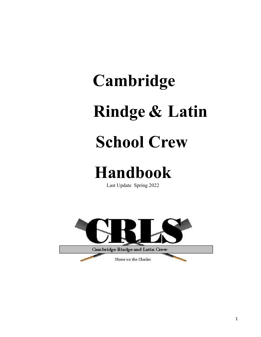# **Cambridge Rindge & Latin School Crew**

# **Handbook**

Last Update Spring 2022

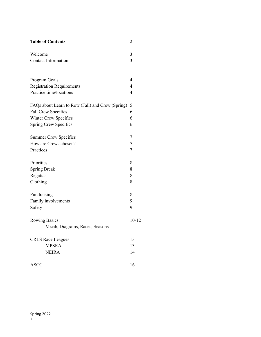| <b>Table of Contents</b>                                    | $\overline{2}$   |
|-------------------------------------------------------------|------------------|
| Welcome                                                     | 3                |
| <b>Contact Information</b>                                  | 3                |
| Program Goals                                               | 4                |
|                                                             | $\overline{4}$   |
| <b>Registration Requirements</b><br>Practice time/locations | 4                |
|                                                             |                  |
| FAQs about Learn to Row (Fall) and Crew (Spring)            | 5                |
| Fall Crew Specifics                                         | 6                |
| Winter Crew Specifics                                       | 6                |
| Spring Crew Specifics                                       | 6                |
| <b>Summer Crew Specifics</b>                                | 7                |
| How are Crews chosen?                                       | $\boldsymbol{7}$ |
| Practices                                                   | 7                |
| Priorities                                                  | 8                |
| <b>Spring Break</b>                                         | 8                |
| Regattas                                                    | 8                |
| Clothing                                                    | 8                |
| Fundraising                                                 | 8                |
| Family involvements                                         | 9                |
| Safety                                                      | 9                |
| <b>Rowing Basics:</b>                                       | $10 - 12$        |
| Vocab, Diagrams, Races, Seasons                             |                  |
| <b>CRLS Race Leagues</b>                                    | 13               |
| <b>MPSRA</b>                                                | 13               |
| <b>NEIRA</b>                                                | 14               |
| <b>ASCC</b>                                                 | 16               |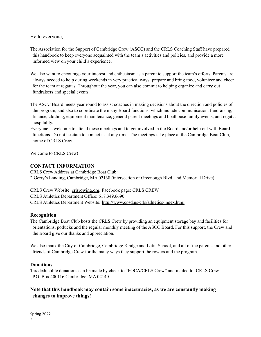Hello everyone,

The Association for the Support of Cambridge Crew (ASCC) and the CRLS Coaching Staff have prepared this handbook to keep everyone acquainted with the team's activities and policies, and provide a more informed view on your child's experience.

We also want to encourage your interest and enthusiasm as a parent to support the team's efforts. Parents are always needed to help during weekends in very practical ways: prepare and bring food, volunteer and cheer for the team at regattas. Throughout the year, you can also commit to helping organize and carry out fundraisers and special events.

The ASCC Board meets year round to assist coaches in making decisions about the direction and policies of the program, and also to coordinate the many Board functions, which include communication, fundraising, finance, clothing, equipment maintenance, general parent meetings and boathouse family events, and regatta hospitality.

Everyone is welcome to attend these meetings and to get involved in the Board and/or help out with Board functions. Do not hesitate to contact us at any time. The meetings take place at the Cambridge Boat Club, home of CRLS Crew.

Welcome to CRLS Crew!

#### **CONTACT INFORMATION**

CRLS Crew Address at Cambridge Boat Club: 2 Gerry's Landing, Cambridge, MA 02138 (intersection of Greenough Blvd. and Memorial Drive)

CRLS Crew Website: [crlsrowing.org;](http://www.geocities.com/crlsrowing) Facebook page: CRLS CREW CRLS Athletics Department Office: 617.349.6690 CRLS Athletics Department Website: <http://www.cpsd.us/crls/athletics/index.html>

#### **Recognition**

The Cambridge Boat Club hosts the CRLS Crew by providing an equipment storage bay and facilities for orientations, potlucks and the regular monthly meeting of the ASCC Board. For this support, the Crew and the Board give our thanks and appreciation.

We also thank the City of Cambridge, Cambridge Rindge and Latin School, and all of the parents and other friends of Cambridge Crew for the many ways they support the rowers and the program.

#### **Donations**

Tax deductible donations can be made by check to "FOCA/CRLS Crew" and mailed to: CRLS Crew P.O. Box 400116 Cambridge, MA 02140

**Note that this handbook may contain some inaccuracies, as we are constantly making changes to improve things!**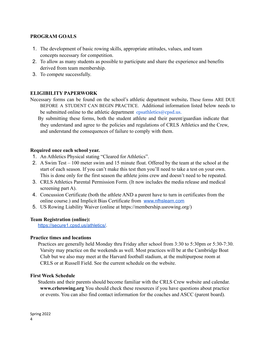# **PROGRAM GOALS**

- 1. The development of basic rowing skills, appropriate attitudes, values, and team concepts necessary for competition.
- 2. To allow as many students as possible to participate and share the experience and benefits derived from team membership.
- 3. To compete successfully.

#### **ELIGIBILITY PAPERWORK**

Necessary forms can be found on the school's athletic department website**.** These forms ARE DUE BEFORE A STUDENT CAN BEGIN PRACTICE. Additional information listed below needs to be submitted online to the athletic department  $\cos\theta$  cpsd.us.

By submitting these forms, both the student athlete and their parent/guardian indicate that they understand and agree to the policies and regulations of CRLS Athletics and the Crew, and understand the consequences of failure to comply with them.

#### **Required once each school year.**

- 1. An Athletics Physical stating "Cleared for Athletics".
- 2. A Swim Test 100 meter swim and 15 minute float. Offered by the team at the school at the start of each season. If you can't make this test then you'll need to take a test on your own. This is done only for the first season the athlete joins crew and doesn't need to be repeated.
- 3. CRLS Athletics Parental Permission Form. (It now includes the media release and medical screening part A).
- 4. Concussion Certificate (both the athlete AND a parent have to turn in certificates from the online course.) and Implicit Bias Certificate from [www.nfhslearn.com](http://track.spe.schoolmessenger.com/f/a/STWlWhsyANNgtAA-cdC7Iw~~/AAAAAQA~/RgRjb9MFP0QZaHR0cDovL3d3dy5uZmhzbGVhcm4uY29tL1cHc2Nob29sbUIKYYuFn45h-kg5UlIXMjVuaGFpbGVtZWxla290QGNwc2QudXNYBAAAAAE~)
- 5. US Rowing Liability Waiver (online at https://membership.usrowing.org/)

#### **Team Registration (online):**

<https://secure1.cpsd.us/athletics/>.

#### **Practice times and locations**

Practices are generally held Monday thru Friday after school from 3:30 to 5:30pm or 5:30-7:30. Varsity may practice on the weekends as well. Most practices will be at the Cambridge Boat Club but we also may meet at the Harvard football stadium, at the multipurpose room at CRLS or at Russell Field. See the current schedule on the website.

#### **First Week Schedule**

Students and their parents should become familiar with the CRLS Crew website and calendar. **[www.crlsrowing.org](http://www.crlsrowing.org/)** You should check these resources if you have questions about practice or events. You can also find contact information for the coaches and ASCC (parent board).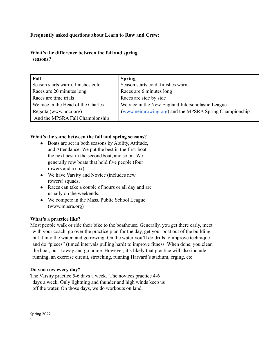# **Frequently asked questions about Learn to Row and Crew:**

**What's the difference between the fall and spring seasons?**

| Fall                               | <b>Spring</b>                                           |
|------------------------------------|---------------------------------------------------------|
| Season starts warm, finishes cold  | Season starts cold, finishes warm                       |
| Races are 20 minutes long          | Races are 6 minutes long                                |
| Races are time trials              | Races are side by side                                  |
| We race in the Head of the Charles | We race in the New England Interscholastic League       |
| Regatta (www.hocr.org)             | (www.neirarowing.org) and the MPSRA Spring Championship |
| And the MPSRA Fall Championship    |                                                         |

#### **What's the same between the fall and spring seasons?**

- Boats are set in both seasons by Ability, Attitude, and Attendance. We put the best in the first boat, the next best in the second boat, and so on. We generally row boats that hold five people (four rowers and a cox).
- We have Varsity and Novice (includes new rowers) squads.
- Races can take a couple of hours or all day and are usually on the weekends.
- We compete in the Mass. Public School League (www.mpsra.org)

#### **What's a practice like?**

Most people walk or ride their bike to the boathouse. Generally, you get there early, meet with your coach, go over the practice plan for the day, get your boat out of the building, put it into the water, and go rowing. On the water you'll do drills to improve technique and do "pieces" (timed intervals pulling hard) to improve fitness. When done, you clean the boat, put it away and go home. However, it's likely that practice will also include running, an exercise circuit, stretching, running Harvard's stadium, erging, etc.

#### **Do you row every day?**

The Varsity practice 5-6 days a week. The novices practice 4-6 days a week. Only lightning and thunder and high winds keep us off the water. On those days, we do workouts on land.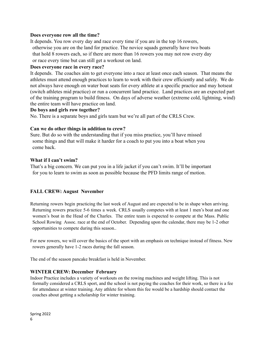#### **Does everyone row all the time?**

It depends. You row every day and race every time if you are in the top 16 rowers, otherwise you are on the land for practice. The novice squads generally have two boats that hold 8 rowers each, so if there are more than 16 rowers you may not row every day or race every time but can still get a workout on land.

#### **Does everyone race in every race?**

It depends. The coaches aim to get everyone into a race at least once each season. That means the athletes must attend enough practices to learn to work with their crew efficiently and safely. We do not always have enough on water boat seats for every athlete at a specific practice and may hotseat (switch athletes mid practice) or run a concurrent land practice. Land practices are an expected part of the training program to build fitness. On days of adverse weather (extreme cold, lightning, wind) the entire team will have practice on land.

#### **Do boys and girls row together?**

No. There is a separate boys and girls team but we're all part of the CRLS Crew.

#### **Can we do other things in addition to crew?**

Sure. But do so with the understanding that if you miss practice, you'll have missed some things and that will make it harder for a coach to put you into a boat when you come back.

#### **What if I can't swim?**

That's a big concern. We can put you in a life jacket if you can't swim. It'll be important for you to learn to swim as soon as possible because the PFD limits range of motion.

#### **FALL CREW: August November**

Returning rowers begin practicing the last week of August and are expected to be in shape when arriving. Returning rowers practice 5-6 times a week. CRLS usually competes with at least 1 men's boat and one women's boat in the Head of the Charles. The entire team is expected to compete at the Mass. Public School Rowing Assoc. race at the end of October. Depending upon the calendar, there may be 1-2 other opportunities to compete during this season..

For new rowers, we will cover the basics of the sport with an emphasis on technique instead of fitness. New rowers generally have 1-2 races during the fall season.

The end of the season pancake breakfast is held in November.

#### **WINTER CREW: December February**

Indoor Practice includes a variety of workouts on the rowing machines and weight lifting. This is not formally considered a CRLS sport, and the school is not paying the coaches for their work, so there is a fee for attendance at winter training. Any athlete for whom this fee would be a hardship should contact the coaches about getting a scholarship for winter training.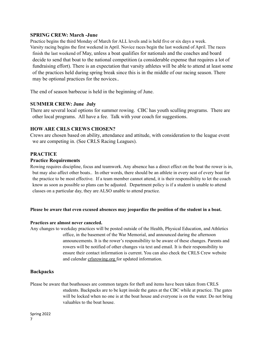#### **SPRING CREW: March -June**

Practice begins the third Monday of March for ALL levels and is held five or six days a week. Varsity racing begins the first weekend in April. Novice races begin the last weekend of April. The races finish the last weekend of May, unless a boat qualifies for nationals and the coaches and board decide to send that boat to the national competition (a considerable expense that requires a lot of fundraising effort). There is an expectation that varsity athletes will be able to attend at least some of the practices held during spring break since this is in the middle of our racing season. There may be optional practices for the novices..

The end of season barbecue is held in the beginning of June.

#### **SUMMER CREW: June July**

There are several local options for summer rowing. CBC has youth sculling programs. There are other local programs. All have a fee. Talk with your coach for suggestions.

#### **HOW ARE CRLS CREWS CHOSEN?**

Crews are chosen based on ability, attendance and attitude, with consideration to the league event we are competing in. (See CRLS Racing Leagues).

#### **PRACTICE**

#### **Practice Requirements**

Rowing requires discipline, focus and teamwork. Any absence has a direct effect on the boat the rower is in, but may also affect other boats.. In other words, there should be an athlete in every seat of every boat for the practice to be most effective. If a team member cannot attend, it is their responsibility to let the coach know as soon as possible so plans can be adjusted. Department policy is if a student is unable to attend classes on a particular day, they are ALSO unable to attend practice.

#### **Please be aware that even excused absences may jeopardize the position of the student in a boat.**

#### **Practices are almost never canceled.**

Any changes to weekday practices will be posted outside of the Health, Physical Education, and Athletics office, in the basement of the War Memorial, and announced during the afternoon announcements. It is the rower's responsibility to be aware of these changes. Parents and rowers will be notified of other changes via text and email. It is their responsibility to ensure their contact information is current. You can also check the CRLS Crew website and calendar [crlsrowing.org](http://calendar.mail.yahoo.com/crlsrowing) for updated information.

#### **Backpacks**

Please be aware that boathouses are common targets for theft and items have been taken from CRLS students. Backpacks are to be kept inside the gates at the CBC while at practice. The gates will be locked when no one is at the boat house and everyone is on the water. Do not bring valuables to the boat house.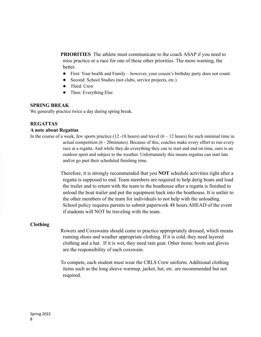**PRIORITIES** The athlete must communicate to the coach ASAP if you need to miss practice or a race for one of these other priorities. The more warning, the better.

- First: Your health and Family however, your cousin's birthday party does not count.
- Second: School Studies (not clubs, service projects, etc.)
- Third: Crew
- Then: Everything Else

#### **SPRING BREAK**

We generally practice twice a day during spring break.

# **REGATTAS**

#### **A note about Regattas**

In the course of a week, few sports practice  $(12 - 18)$  hours) and travel  $(6 - 12)$  hours) for such minimal time in actual competition (6 - 20minutes). Because of this, coaches make every effort to run every race at a regatta. And while they do everything they can to start and end on time, ours is an outdoor sport and subject to the weather. Unfortunately this means regattas can start late and/or go past their scheduled finishing time.

> Therefore, it is strongly recommended that you **NOT** schedule activities right after a regatta is supposed to end. Team members are required to help derig boats and load the trailer and to return with the team to the boathouse after a regatta is finished to unload the boat trailer and put the equipment back into the boathouse. It is unfair to the other members of the team for individuals to not help with the unloading. School policy requires parents to submit paperwork 48 hours AHEAD of the event if students will NOT be traveling with the team.

#### **Clothing**

Rowers and Coxswains should come to practice appropriately dressed, which means running shoes and weather appropriate clothing. If it is cold, they need layered clothing and a hat. If it is wet, they need rain gear. Other items: boots and gloves are the responsibility of each coxswain.

To compete, each student must wear the CRLS Crew uniform. Additional clothing items such as the long sleeve warmup, jacket, hat, etc. are recommended but not required.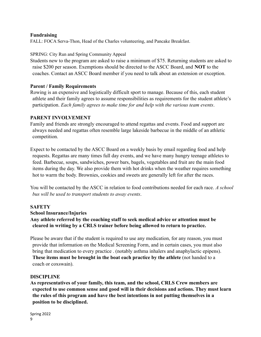#### **Fundraising**

FALL: FOCA Serva-Thon, Head of the Charles volunteering, and Pancake Breakfast.

#### SPRING: City Run and Spring Community Appeal

Students new to the program are asked to raise a minimum of \$75. Returning students are asked to raise \$200 per season. Exemptions should be directed to the ASCC Board, and **NOT** to the coaches. Contact an ASCC Board member if you need to talk about an extension or exception.

#### **Parent / Family Requirements**

Rowing is an expensive and logistically difficult sport to manage. Because of this, each student athlete and their family agrees to assume responsibilities as requirements for the student athlete's participation. *Each family agrees to make time for and help with the various team events*.

#### **PARENT INVOLVEMENT**

Family and friends are strongly encouraged to attend regattas and events. Food and support are always needed and regattas often resemble large lakeside barbecue in the middle of an athletic competition.

Expect to be contacted by the ASCC Board on a weekly basis by email regarding food and help requests. Regattas are many times full day events, and we have many hungry teenage athletes to feed. Barbecue, soups, sandwiches, power bars, bagels, vegetables and fruit are the main food items during the day. We also provide them with hot drinks when the weather requires something hot to warm the body. Brownies, cookies and sweets are generally left for after the races.

You will be contacted by the ASCC in relation to food contributions needed for each race. *A school bus will be used to transport students to away events*.

# **SAFETY**

#### **School Insurance/Injuries**

**Any athlete referred by the coaching staff to seek medical advice or attention must be cleared in writing by a CRLS trainer before being allowed to return to practice.**

Please be aware that if the student is required to use any medication, for any reason, you must provide that information on the Medical Screening Form, and in certain cases, you must also bring that medication to every practice . (notably asthma inhalers and anaphylactic epipens). **These items must be brought in the boat each practice by the athlete** (not handed to a coach or coxswain).

#### **DISCIPLINE**

**As representatives of your family, this team, and the school, CRLS Crew members are expected to use common sense and good will in their decisions and actions. They must learn the rules of this program and have the best intentions in not putting themselves in a position to be disciplined.**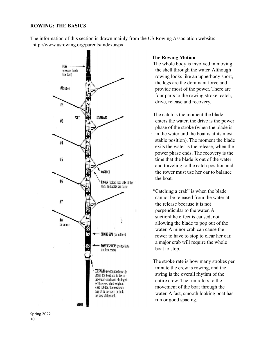#### **ROWING: THE BASICS**

The information of this section is drawn mainly from the US Rowing Association website: <http://www.usrowing.org/parents/index.aspx>



#### **The Rowing Motion**

The whole body is involved in moving the shell through the water. Although rowing looks like an upperbody sport, the legs are the dominant force and provide most of the power. There are four parts to the rowing stroke: catch, drive, release and recovery.

The catch is the moment the blade enters the water, the drive is the power phase of the stroke (when the blade is in the water and the boat is at its most stable position). The moment the blade exits the water is the release, when the power phase ends. The recovery is the time that the blade is out of the water and traveling to the catch position and the rower must use her oar to balance the boat.

"Catching a crab" is when the blade cannot be released from the water at the release because it is not perpendicular to the water. A suctionlike effect is caused, not allowing the blade to pop out of the water. A minor crab can cause the rower to have to stop to clear her oar, a major crab will require the whole boat to stop.

The stroke rate is how many strokes per minute the crew is rowing, and the swing is the overall rhythm of the entire crew. The run refers to the movement of the boat through the water. A fast, smooth looking boat has run or good spacing.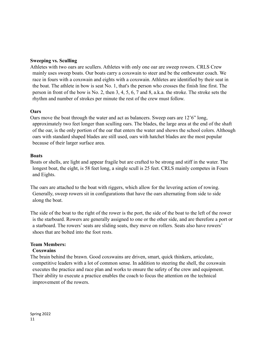# **Sweeping vs. Sculling**

Athletes with two oars are scullers. Athletes with only one oar are sweep rowers. CRLS Crew mainly uses sweep boats. Our boats carry a coxswain to steer and be the onthewater coach. We race in fours with a coxswain and eights with a coxswain. Athletes are identified by their seat in the boat. The athlete in bow is seat No. 1, that's the person who crosses the finish line first. The person in front of the bow is No. 2, then 3, 4, 5, 6, 7 and 8, a.k.a. the stroke. The stroke sets the rhythm and number of strokes per minute the rest of the crew must follow.

#### **Oars**

Oars move the boat through the water and act as balancers. Sweep oars are 12'6" long, approximately two feet longer than sculling oars. The blades, the large area at the end of the shaft of the oar, is the only portion of the oar that enters the water and shows the school colors. Although oars with standard shaped blades are still used, oars with hatchet blades are the most popular because of their larger surface area.

#### **Boats**

Boats or shells, are light and appear fragile but are crafted to be strong and stiff in the water. The longest boat, the eight, is 58 feet long, a single scull is 25 feet. CRLS mainly competes in Fours and Eights.

The oars are attached to the boat with riggers, which allow for the levering action of rowing. Generally, sweep rowers sit in configurations that have the oars alternating from side to side along the boat.

The side of the boat to the right of the rower is the port, the side of the boat to the left of the rower is the starboard. Rowers are generally assigned to one or the other side, and are therefore a port or a starboard. The rowers' seats are sliding seats, they move on rollers. Seats also have rowers' shoes that are bolted into the foot rests.

# **Team Members:**

# **Coxswains**

The brain behind the brawn. Good coxswains are driven, smart, quick thinkers, articulate, competitive leaders with a lot of common sense. In addition to steering the shell, the coxswain executes the practice and race plan and works to ensure the safety of the crew and equipment. Their ability to execute a practice enables the coach to focus the attention on the technical improvement of the rowers.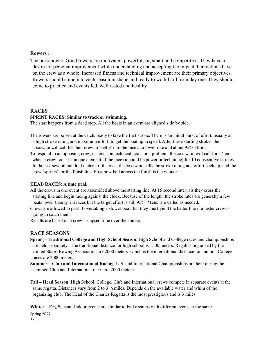#### **Rowers :**

The horsepower. Good rowers are motivated, powerful, fit, smart and competitive. They have a desire for personal improvement while understanding and accepting the impact their actions have on the crew as a whole. Increased fitness and technical improvement are their primary objectives. Rowers should come into each season in shape and ready to work hard from day one. They should come to practice and events fed, well rested and healthy.

# **RACES SPRINT RACES: Similar to track or swimming.**

The start happens from a dead stop. All the boats in an event are aligned side by side.

The rowers are poised at the catch, ready to take the first stroke. There is an initial burst of effort, usually at a high stroke rating and maximum effort, to get the boat up to speed. After these starting strokes the coxswain will call for their crew to 'settle' into the race at a lower rate and about 95% effort.

To respond to an opposing crew, or focus on technical goals or a problem, the coxswain will call for a 'ten' – when a crew focuses on one element of the race (it could be power or technique) for 10 consecutive strokes. In the last several hundred meters of the race, the coxswain calls the stroke rating and effort back up, and the crew 'sprints' for the finish line. First bow ball across the finish is the winner.

#### **HEAD RACES: A time trial.**

All the crews in one event are assembled above the starting line. At 15 second intervals they cross the starting line and begin racing against the clock. Because of the length, the stroke rates are generally a few beats lower than sprint races but the target effort is still 95%. 'Tens' are called as needed.

Crews are allowed to pass if overtaking a slower boat, but they must yield the better line if a faster crew is going to catch them.

Results are based on a crew's elapsed time over the course.

#### **RACE SEASONS**

**Spring – Traditional College and High School Season**. High School and College races and championships are held separately. The traditional distance for high school is 1500 meters. Regattas organized by the United States Rowing Association are 2000 meters which is the international distance for Juniors. College races are 2000 meters.

**Summer – Club and International Racing**. U.S. and International Championships are held during the summer. Club and International races are 2000 meters.

**Fall – Head Season**. High School, College, Club and International crews compete in separate events at the same regatta. Distances vary from 2 to 3  $\frac{1}{2}$  miles. Depends on the available water and whim of the organizing club. The Head of the Charles Regatta is the most prestigious and is 3 miles.

**Winter – Erg Season**. Indoor events are similar to Fall regattas with different events at the same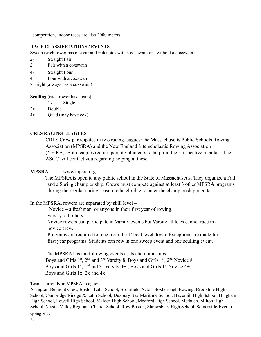competition. Indoor races are also 2000 meters.

#### **RACE CLASSIFICATIONS / EVENTS**

**Sweep** (each rower has one oar and  $+$  denotes with a coxswain or - without a coxswain)

- 2- Straight Pair
- 2+ Pair with a coxswain
- 4- Straight Four
- 4+ Four with a coxswain

8+Eight (always has a coxswain)

**Sculling** (each rower has 2 oars)

- 1x Single
- 2x Double
- 4x Quad (may have cox)

#### **CRLS RACING LEAGUES**

CRLS Crew participates in two racing leagues: the Massachusetts Public Schools Rowing Association (MPSRA) and the New England Interscholastic Rowing Association (NEIRA). Both leagues require parent volunteers to help run their respective regattas. The ASCC will contact you regarding helping at these.

#### **MPSRA** [www.mpsra.org](http://www.mpsra.org/)

The MPSRA is open to any public school in the State of Massachusetts. They organize a Fall and a Spring championship. Crews must compete against at least 3 other MPSRA programs during the regular spring season to be eligible to enter the championship regatta.

In the MPSRA, rowers are separated by skill level –

Novice – a freshman, or anyone in their first year of rowing. Varsity all others.

Novice rowers can participate in Varsity events but Varsity athletes cannot race in a novice crew.

Programs are required to race from the  $1<sup>st</sup>$  boat level down. Exceptions are made for first year programs. Students can row in one sweep event and one sculling event.

The MPSRA has the following events at its championships. Boys and Girls  $1<sup>st</sup>$ ,  $2<sup>nd</sup>$  and  $3<sup>rd</sup>$  Varsity 8; Boys and Girls  $1<sup>st</sup>$ ,  $2<sup>nd</sup>$  Novice 8 Boys and Girls  $1<sup>st</sup>$ ,  $2<sup>nd</sup>$  and  $3<sup>rd</sup>$  Varsity  $4+$ ; Boys and Girls  $1<sup>st</sup>$  Novice  $4+$ Boys and Girls 1x, 2x and 4x

#### Teams currently in MPSRA League:

Arlington-Belmont Crew, Boston Latin School, Bromfield-Acton-Boxborough Rowing, Brookline High School, Cambridge Rindge & Latin School, Duxbury Bay Maritime School, Haverhill High School, Hingham High School, Lowell High School, Malden High School, Medford High School, Methuen, Milton High School, Mystic Valley Regional Charter School, Row Boston, Shrewsbury High School, Somerville-Everett,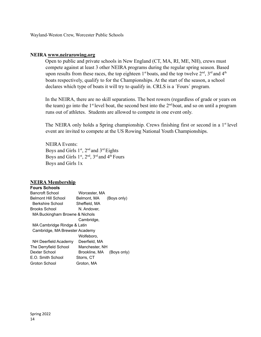Wayland-Weston Crew, Worcester Public Schools

#### **NEIRA [www.neirarowing.org](http://www.neirarowing.org/)**

Open to public and private schools in New England (CT, MA, RI, ME, NH), crews must compete against at least 3 other NEIRA programs during the regular spring season. Based upon results from these races, the top eighteen  $1<sup>st</sup>$  boats, and the top twelve  $2<sup>nd</sup>$ ,  $3<sup>rd</sup>$  and  $4<sup>th</sup>$ boats respectively, qualify to for the Championships. At the start of the season, a school declares which type of boats it will try to qualify in. CRLS is a ´Fours´ program.

In the NEIRA, there are no skill separations. The best rowers (regardless of grade or years on the team) go into the  $1<sup>st</sup>$  level boat, the second best into the  $2<sup>nd</sup>$  boat, and so on until a program runs out of athletes. Students are allowed to compete in one event only.

The NEIRA only holds a Spring championship. Crews finishing first or second in a 1<sup>st</sup> level event are invited to compete at the US Rowing National Youth Championships.

NEIRA Events: Boys and Girls  $1<sup>st</sup>$ ,  $2<sup>nd</sup>$  and  $3<sup>rd</sup>$  Eights Boys and Girls  $1<sup>st</sup>$ ,  $2<sup>nd</sup>$ ,  $3<sup>rd</sup>$  and  $4<sup>th</sup>$  Fours Boys and Girls 1x

#### **NEIRA Membership**

| <b>Fours Schools</b>           |                              |
|--------------------------------|------------------------------|
| Bancroft School                | Worcester, MA                |
| Belmont Hill School            | Belmont, MA<br>(Boys only)   |
| Berkshire School               | Sheffield, MA                |
| Brooks School                  | N. Andover.                  |
| MA Buckingham Browne & Nichols |                              |
|                                | Cambridge,                   |
| MA Cambridge Rindge & Latin    |                              |
| Cambridge, MA Brewster Academy |                              |
|                                | Wolfeboro.                   |
| NH Deerfield Academy           | Deerfield, MA                |
| The Derryfield School          | Manchester, NH               |
| Dexter School                  | Brookline, MA<br>(Boys only) |
| E.O. Smith School              | Storrs, CT                   |
| Groton School                  | Groton, MA                   |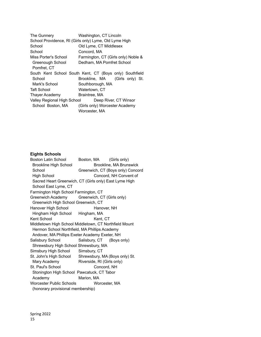| The Gunnery                                             | Washington, CT Lincoln              |  |  |  |
|---------------------------------------------------------|-------------------------------------|--|--|--|
| School Providence, RI (Girls only) Lyme, Old Lyme High  |                                     |  |  |  |
| School                                                  | Old Lyme, CT Middlesex              |  |  |  |
| School                                                  | Concord, MA                         |  |  |  |
| Miss Porter's School                                    | Farmington, CT (Girls only) Noble & |  |  |  |
| Greenough School                                        | Dedham. MA Pomfret School           |  |  |  |
| Pomfret. CT                                             |                                     |  |  |  |
| South Kent School South Kent, CT (Boys only) Southfield |                                     |  |  |  |
| School                                                  | Brookline, MA (Girls only) St.      |  |  |  |
| Mark's School                                           | Southborough, MA                    |  |  |  |
| <b>Taft School</b>                                      | Watertown, CT                       |  |  |  |
| Thayer Academy                                          | Braintree, MA                       |  |  |  |
| Valley Regional High School                             | Deep River, CT Winsor               |  |  |  |
| School Boston, MA                                       | (Girls only) Worcester Academy      |  |  |  |
| Worcester, MA                                           |                                     |  |  |  |

# **Eights Schools**

| Boston, MA (Girls only)                               |                                                                                                                                                                                                                                                                                                                                                                                                                    |  |
|-------------------------------------------------------|--------------------------------------------------------------------------------------------------------------------------------------------------------------------------------------------------------------------------------------------------------------------------------------------------------------------------------------------------------------------------------------------------------------------|--|
| Brookline, MA Brunswick                               |                                                                                                                                                                                                                                                                                                                                                                                                                    |  |
| Greenwich, CT (Boys only) Concord                     |                                                                                                                                                                                                                                                                                                                                                                                                                    |  |
| Concord, NH Convent of                                |                                                                                                                                                                                                                                                                                                                                                                                                                    |  |
|                                                       |                                                                                                                                                                                                                                                                                                                                                                                                                    |  |
|                                                       |                                                                                                                                                                                                                                                                                                                                                                                                                    |  |
| Farmington High School Farmington, CT                 |                                                                                                                                                                                                                                                                                                                                                                                                                    |  |
|                                                       |                                                                                                                                                                                                                                                                                                                                                                                                                    |  |
| Greenwich High School Greenwich, CT                   |                                                                                                                                                                                                                                                                                                                                                                                                                    |  |
|                                                       |                                                                                                                                                                                                                                                                                                                                                                                                                    |  |
| Hingham High School Hingham, MA                       |                                                                                                                                                                                                                                                                                                                                                                                                                    |  |
|                                                       |                                                                                                                                                                                                                                                                                                                                                                                                                    |  |
|                                                       |                                                                                                                                                                                                                                                                                                                                                                                                                    |  |
|                                                       |                                                                                                                                                                                                                                                                                                                                                                                                                    |  |
|                                                       |                                                                                                                                                                                                                                                                                                                                                                                                                    |  |
| Salisbury School                                      |                                                                                                                                                                                                                                                                                                                                                                                                                    |  |
|                                                       |                                                                                                                                                                                                                                                                                                                                                                                                                    |  |
| Simsbury High School Simsbury, CT                     |                                                                                                                                                                                                                                                                                                                                                                                                                    |  |
| St. John's High School Shrewsbury, MA (Boys only) St. |                                                                                                                                                                                                                                                                                                                                                                                                                    |  |
| Riverside, RI (Girls only)                            |                                                                                                                                                                                                                                                                                                                                                                                                                    |  |
| Concord, NH                                           |                                                                                                                                                                                                                                                                                                                                                                                                                    |  |
|                                                       |                                                                                                                                                                                                                                                                                                                                                                                                                    |  |
| Marion, MA                                            |                                                                                                                                                                                                                                                                                                                                                                                                                    |  |
| Worcester Public Schools                              | Worcester, MA                                                                                                                                                                                                                                                                                                                                                                                                      |  |
| (honorary provisional membership)                     |                                                                                                                                                                                                                                                                                                                                                                                                                    |  |
|                                                       | Sacred Heart Greenwich, CT (Girls only) East Lyme High<br>Greenwich Academy Greenwich, CT (Girls only)<br>Hanover, NH<br>Kent, CT<br>Middletown High School Middletown, CT Northfield Mount<br>Hermon School Northfield, MA Phillips Academy<br>Andover, MA Phillips Exeter Academy Exeter, NH<br>Salisbury, CT (Boys only)<br>Shrewsbury High School Shrewsbury, MA<br>Stonington High School Pawcatuck, CT Tabor |  |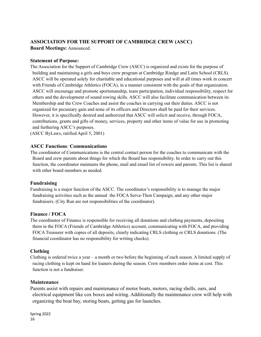# **ASSOCIATION FOR THE SUPPORT OF CAMBRIDGE CREW (ASCC)**

**Board Meetings:** Announced.

#### **Statement of Purpose:**

The Association for the Support of Cambridge Crew (ASCC) is organized and exists for the purpose of building and maintaining a girls and boys crew program at Cambridge Rindge and Latin School (CRLS). ASCC will be operated solely for charitable and educational purposes and will at all times work in concert with Friends of Cambridge Athletics (FOCA), in a manner consistent with the goals of that organization. ASCC will encourage and promote sportsmanship, team participation, individual responsibility, respect for others and the development of sound rowing skills. ASCC will also facilitate communication between its Membership and the Crew Coaches and assist the coaches in carrying out their duties. ASCC is not organized for pecuniary gain and none of its officers and Directors shall be paid for their services. However, it is specifically desired and authorized that ASCC will solicit and receive, through FOCA, contributions, grants and gifts of money, services, property and other items of value for use in promoting and furthering ASCC's purposes.

(ASCC ByLaws, ratified April 5, 2001)

#### **ASCC Functions**: **Communications**

The coordinator of Communications is the central contact person for the coaches to communicate with the Board and crew parents about things for which the Board has responsibility. In order to carry out this function, the coordinator maintains the phone, mail and email list of rowers and parents. This list is shared with other board members as needed.

#### **Fundraising**

Fundraising is a major function of the ASCC. The coordinator's responsibility is to manage the major fundraising activities such as the annual the FOCA Serva-Thon Campaign, and any other major fundraisers. (City Run are not responsibilities of the coordinator).

#### **Finance / FOCA**

The coordinator of Finance is responsible for receiving all donations and clothing payments, depositing them in the FOCA (Friends of Cambridge Athletics) account, communicating with FOCA, and providing FOCA Treasurer with copies of all deposits, clearly indicating CRLS clothing or CRLS donations. (The financial coordinator has no responsibility for writing checks).

#### **Clothing**

Clothing is ordered twice a year – a month or two before the beginning of each season. A limited supply of racing clothing is kept on hand for loaners during the season. Crew members order items at cost. This function is not a fundraiser.

#### **Maintenance**

Parents assist with repairs and maintenance of motor boats, motors, racing shells, oars, and electrical equipment like cox boxes and wiring. Additionally the maintenance crew will help with organizing the boat bay, storing boats, getting gas for launches.